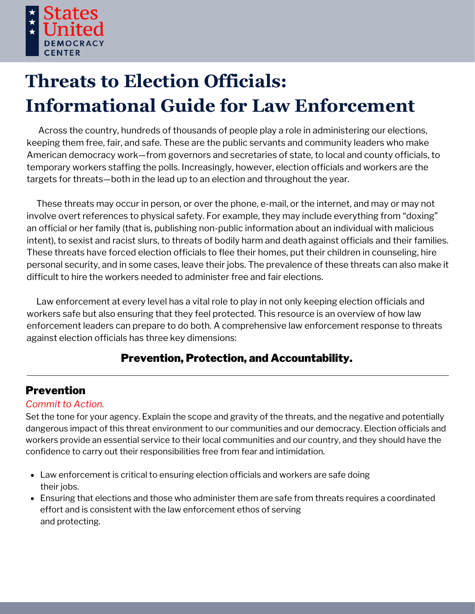

# **Threats to Election Officials: Informational Guide for Law Enforcement**

Across the country, hundreds of thousands of people play a role in administering our elections, keeping them free, fair, and safe. These are the public servants and community leaders who make American democracy work—from governors and secretaries of state, to local and county officials, to temporary workers staffing the polls. Increasingly, however, election officials and workers are the targets for threats—both in the lead up to an election and throughout the year.

These threats may occur in person, or over the phone, e-mail, or the internet, and may or may not involve overt references to physical safety. For example, they may include everything from "doxing" an official or her family (that is, publishing non-public information about an individual with malicious intent), to sexist and racist slurs, to threats of bodily harm and death against officials and their families. These threats have forced election officials to flee their homes, put their children in counseling, hire personal security, and in some cases, leave their jobs. The prevalence of these threats can also make it difficult to hire the workers needed to administer free and fair elections.

Law enforcement at every level has a vital role to play in not only keeping election officials and workers safe but also ensuring that they feel protected. This resource is an overview of how law enforcement leaders can prepare to do both. A comprehensive law enforcement response to threats against election officials has three key dimensions:

## Prevention, Protection, and Accountability.

# Prevention

## *Commit to Action.*

Set the tone for your agency. Explain the scope and gravity of the threats, and the negative and potentially dangerous impact of this threat environment to our communities and our democracy. Election officials and workers provide an essential service to their local communities and our country, and they should have the confidence to carry out their responsibilities free from fear and intimidation.

- Law enforcement is critical to ensuring election officials and workers are safe doing their jobs.
- Ensuring that elections and those who administer them are safe from threats requires a coordinated effort and is consistent with the law enforcement ethos of serving and protecting.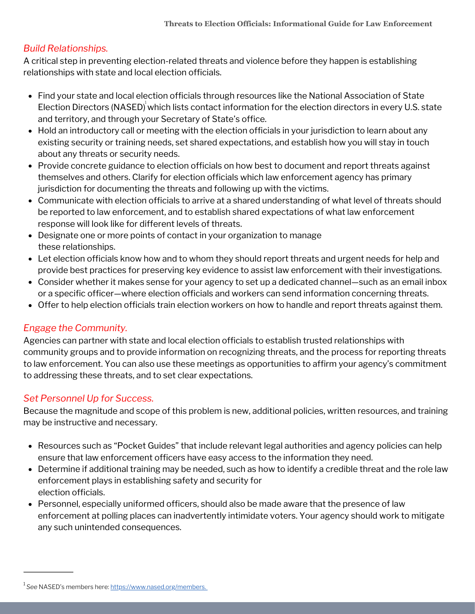## *Build Relationships.*

A critical step in preventing election-related threats and violence before they happen is establishing relationships with state and local election officials.

- Find your state and local election officials through resources like the National Association of State Election Directors (NASED) which lists contact information for the election directors in every U.S. state and territory, and through your Secretary of State's office.
- Hold an introductory call or meeting with the election officials in your jurisdiction to learn about any existing security or training needs, set shared expectations, and establish how you will stay in touch about any threats or security needs.
- Provide concrete guidance to election officials on how best to document and report threats against themselves and others. Clarify for election officials which law enforcement agency has primary jurisdiction for documenting the threats and following up with the victims.
- Communicate with election officials to arrive at a shared understanding of what level of threats should be reported to law enforcement, and to establish shared expectations of what law enforcement response will look like for different levels of threats.
- Designate one or more points of contact in your organization to manage these relationships.
- Let election officials know how and to whom they should report threats and urgent needs for help and provide best practices for preserving key evidence to assist law enforcement with their investigations.
- Consider whether it makes sense for your agency to set up a dedicated channel—such as an email inbox or a specific officer—where election officials and workers can send information concerning threats.
- Offer to help election officials train election workers on how to handle and report threats against them.

## *Engage the Community.*

Agencies can partner with state and local election officials to establish trusted relationships with community groups and to provide information on recognizing threats, and the process for reporting threats to law enforcement. You can also use these meetings as opportunities to affirm your agency's commitment to addressing these threats, and to set clear expectations.

## *Set Personnel Up for Success.*

Because the magnitude and scope of this problem is new, additional policies, written resources, and training may be instructive and necessary.

- Resources such as "Pocket Guides" that include relevant legal authorities and agency policies can help ensure that law enforcement officers have easy access to the information they need.
- Determine if additional training may be needed, such as how to identify a credible threat and the role law enforcement plays in establishing safety and security for election officials.
- Personnel, especially uniformed officers, should also be made aware that the presence of law enforcement at polling places can inadvertently intimidate voters. Your agency should work to mitigate any such unintended consequences.

<sup>&</sup>lt;sup>1</sup> See NASED's members here: <u>[https://www.nased.org/members.](https://www.nased.org/members)</u>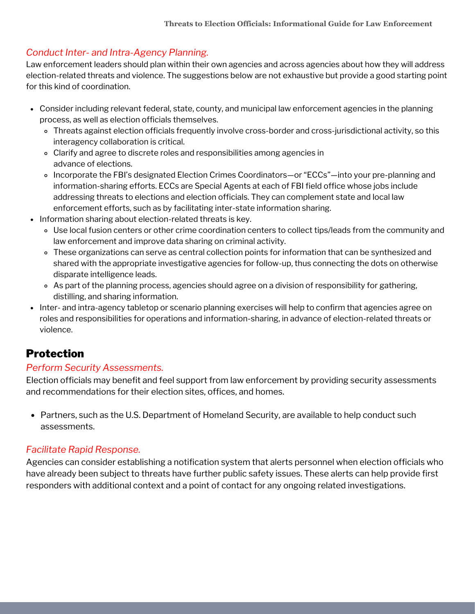## *Conduct Inter- and Intra-Agency Planning.*

Law enforcement leaders should plan within their own agencies and across agencies about how they will address election-related threats and violence. The suggestions below are not exhaustive but provide a good starting point for this kind of coordination.

- Consider including relevant federal, state, county, and municipal law enforcement agencies in the planning process, as well as election officials themselves.
	- Threats against election officials frequently involve cross-border and cross-jurisdictional activity, so this interagency collaboration is critical.
	- Clarify and agree to discrete roles and responsibilities among agencies in advance of elections.
	- Incorporate the FBI's designated Election Crimes Coordinators—or "ECCs"—into your pre-planning and information-sharing efforts. ECCs are Special Agents at each of FBI field office whose jobs include addressing threats to elections and election officials. They can complement state and local law enforcement efforts, such as by facilitating inter-state information sharing.
- Information sharing about election-related threats is key.
	- Use local fusion centers or other crime coordination centers to collect tips/leads from the community and law enforcement and improve data sharing on criminal activity.
	- These organizations can serve as central collection points for information that can be synthesized and shared with the appropriate investigative agencies for follow-up, thus connecting the dots on otherwise disparate intelligence leads.
	- As part of the planning process, agencies should agree on a division of responsibility for gathering, distilling, and sharing information.
- Inter- and intra-agency tabletop or scenario planning exercises will help to confirm that agencies agree on roles and responsibilities for operations and information-sharing, in advance of election-related threats or violence.

## Protection

## *Perform Security Assessments.*

Election officials may benefit and feel support from law enforcement by providing security assessments and recommendations for their election sites, offices, and homes.

• Partners, such as the U.S. Department of Homeland Security, are available to help conduct such assessments.

## *Facilitate Rapid Response.*

Agencies can consider establishing a notification system that alerts personnel when election officials who have already been subject to threats have further public safety issues. These alerts can help provide first responders with additional context and a point of contact for any ongoing related investigations.